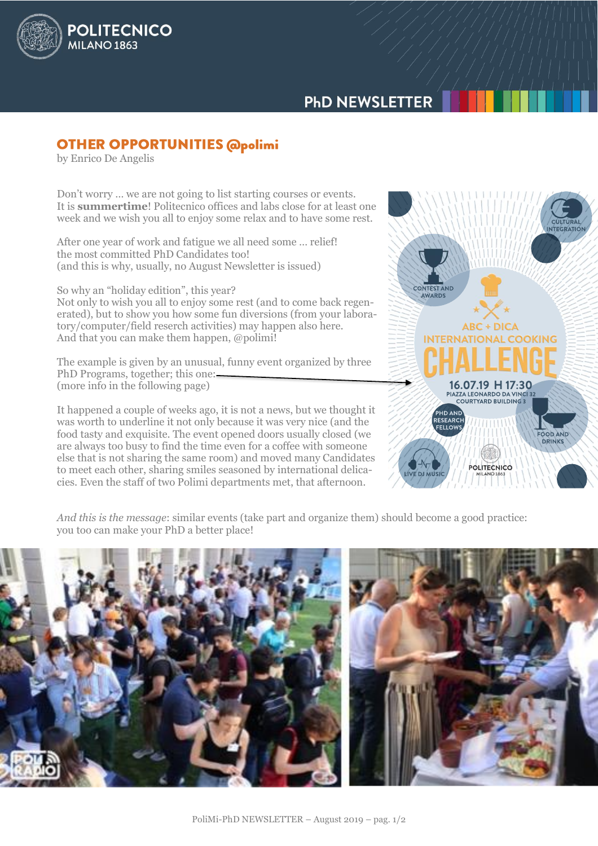

## **OTHER OPPORTUNITIES @polimi**

And that you can make them happen, @polimi!

by Enrico De Angelis

**POLITECNICO** 

**MILANO 1863** 

Don't worry … we are not going to list starting courses or events. It is **summertime**! Politecnico offices and labs close for at least one week and we wish you all to enjoy some relax and to have some rest.

After one year of work and fatigue we all need some … relief! the most committed PhD Candidates too! (and this is why, usually, no August Newsletter is issued)

So why an "holiday edition", this year? Not only to wish you all to enjoy some rest (and to come back regenerated), but to show you how some fun diversions (from your laboratory/computer/field reserch activities) may happen also here.

The example is given by an unusual, funny event organized by three PhD Programs, together; this one: (more info in the following page)

It happened a couple of weeks ago, it is not a news, but we thought it was worth to underline it not only because it was very nice (and the food tasty and exquisite. The event opened doors usually closed (we are always too busy to find the time even for a coffee with someone else that is not sharing the same room) and moved many Candidates to meet each other, sharing smiles seasoned by international delicacies. Even the staff of two Polimi departments met, that afternoon.



*And this is the message*: similar events (take part and organize them) should become a good practice: you too can make your PhD a better place!